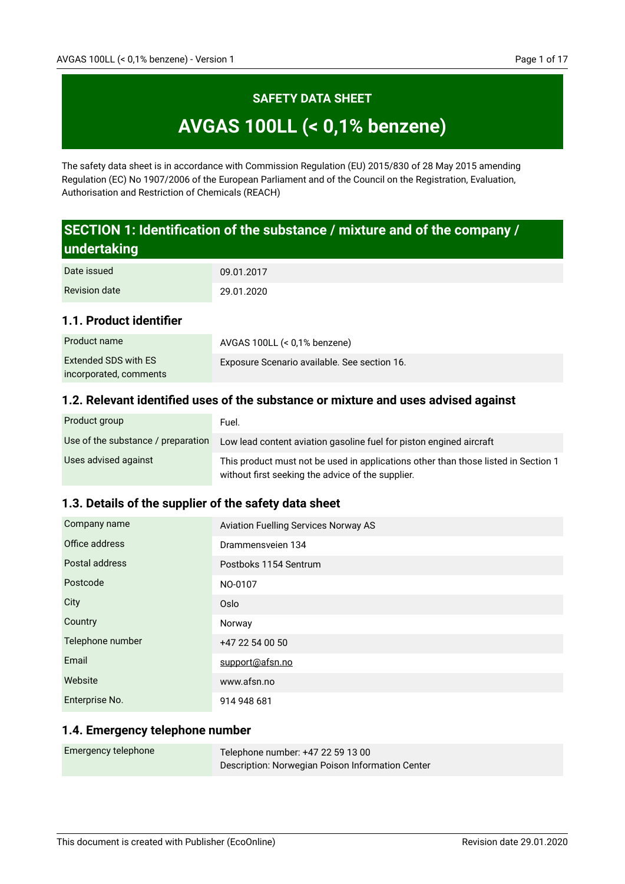# **SAFETY DATA SHEET AVGAS 100LL (< 0,1% benzene)**

The safety data sheet is in accordance with Commission Regulation (EU) 2015/830 of 28 May 2015 amending Regulation (EC) No 1907/2006 of the European Parliament and of the Council on the Registration, Evaluation, Authorisation and Restriction of Chemicals (REACH)

## **SECTION 1: Identification of the substance / mixture and of the company / undertaking**

| Date issued          | 09.01.2017 |
|----------------------|------------|
| <b>Revision date</b> | 29.01.2020 |

## **1.1. Product identifier**

| Product name           | AVGAS 100LL $(< 0.1\%$ benzene)              |
|------------------------|----------------------------------------------|
| Extended SDS with ES   | Exposure Scenario available. See section 16. |
| incorporated, comments |                                              |

## **1.2. Relevant identified uses of the substance or mixture and uses advised against**

| Product group                      | Fuel.                                                                                                                                   |
|------------------------------------|-----------------------------------------------------------------------------------------------------------------------------------------|
| Use of the substance / preparation | Low lead content aviation gasoline fuel for piston engined aircraft                                                                     |
| Uses advised against               | This product must not be used in applications other than those listed in Section 1<br>without first seeking the advice of the supplier. |

## **1.3. Details of the supplier of the safety data sheet**

| Company name     | <b>Aviation Fuelling Services Norway AS</b> |
|------------------|---------------------------------------------|
| Office address   | Drammensveien 134                           |
| Postal address   | Postboks 1154 Sentrum                       |
| Postcode         | NO-0107                                     |
| City             | Oslo                                        |
| Country          | Norway                                      |
| Telephone number | +47 22 54 00 50                             |
| Email            | support@afsn.no                             |
| Website          | www.afsn.no                                 |
| Enterprise No.   | 914 948 681                                 |

#### **1.4. Emergency telephone number**

| Emergency telephone | Telephone number: +47 22 59 13 00                |
|---------------------|--------------------------------------------------|
|                     | Description: Norwegian Poison Information Center |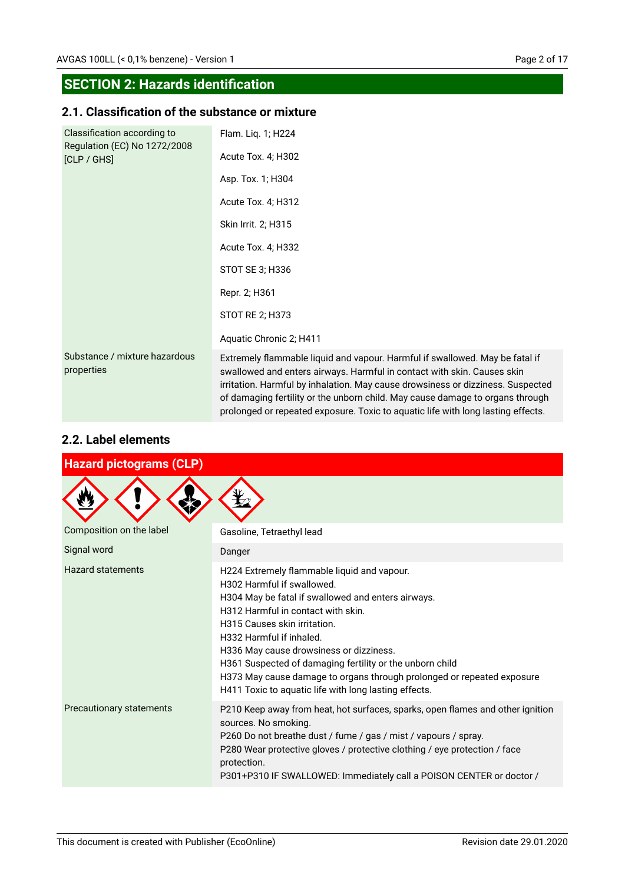## **SECTION 2: Hazards identification**

## **2.1. Classification of the substance or mixture**

| Classification according to<br>Regulation (EC) No 1272/2008<br>[CLP / GHS] | Flam. Liq. 1; H224<br>Acute Tox. 4; H302                                                                                                                                                                                                                                                                                                                                                                        |
|----------------------------------------------------------------------------|-----------------------------------------------------------------------------------------------------------------------------------------------------------------------------------------------------------------------------------------------------------------------------------------------------------------------------------------------------------------------------------------------------------------|
|                                                                            | Asp. Tox. 1; H304                                                                                                                                                                                                                                                                                                                                                                                               |
|                                                                            | Acute Tox. 4; H312                                                                                                                                                                                                                                                                                                                                                                                              |
|                                                                            | Skin Irrit. 2; H315                                                                                                                                                                                                                                                                                                                                                                                             |
|                                                                            | Acute Tox. 4; H332                                                                                                                                                                                                                                                                                                                                                                                              |
|                                                                            | STOT SE 3; H336                                                                                                                                                                                                                                                                                                                                                                                                 |
|                                                                            | Repr. 2; H361                                                                                                                                                                                                                                                                                                                                                                                                   |
|                                                                            | STOT RE 2; H373                                                                                                                                                                                                                                                                                                                                                                                                 |
|                                                                            | Aquatic Chronic 2; H411                                                                                                                                                                                                                                                                                                                                                                                         |
| Substance / mixture hazardous<br>properties                                | Extremely flammable liquid and vapour. Harmful if swallowed. May be fatal if<br>swallowed and enters airways. Harmful in contact with skin. Causes skin<br>irritation. Harmful by inhalation. May cause drowsiness or dizziness. Suspected<br>of damaging fertility or the unborn child. May cause damage to organs through<br>prolonged or repeated exposure. Toxic to aquatic life with long lasting effects. |

## **2.2. Label elements**

| <b>Hazard pictograms (CLP)</b> |                                                                                                                                                                                                                                                                                                                                                                                                                                                                             |  |
|--------------------------------|-----------------------------------------------------------------------------------------------------------------------------------------------------------------------------------------------------------------------------------------------------------------------------------------------------------------------------------------------------------------------------------------------------------------------------------------------------------------------------|--|
|                                |                                                                                                                                                                                                                                                                                                                                                                                                                                                                             |  |
| Composition on the label       | Gasoline, Tetraethyl lead                                                                                                                                                                                                                                                                                                                                                                                                                                                   |  |
| Signal word                    | Danger                                                                                                                                                                                                                                                                                                                                                                                                                                                                      |  |
| <b>Hazard statements</b>       | H224 Extremely flammable liquid and vapour.<br>H302 Harmful if swallowed.<br>H304 May be fatal if swallowed and enters airways.<br>H312 Harmful in contact with skin.<br>H315 Causes skin irritation.<br>H332 Harmful if inhaled.<br>H336 May cause drowsiness or dizziness.<br>H361 Suspected of damaging fertility or the unborn child<br>H373 May cause damage to organs through prolonged or repeated exposure<br>H411 Toxic to aquatic life with long lasting effects. |  |
| Precautionary statements       | P210 Keep away from heat, hot surfaces, sparks, open flames and other ignition<br>sources. No smoking.<br>P260 Do not breathe dust / fume / gas / mist / vapours / spray.<br>P280 Wear protective gloves / protective clothing / eye protection / face<br>protection.<br>P301+P310 IF SWALLOWED: Immediately call a POISON CENTER or doctor /                                                                                                                               |  |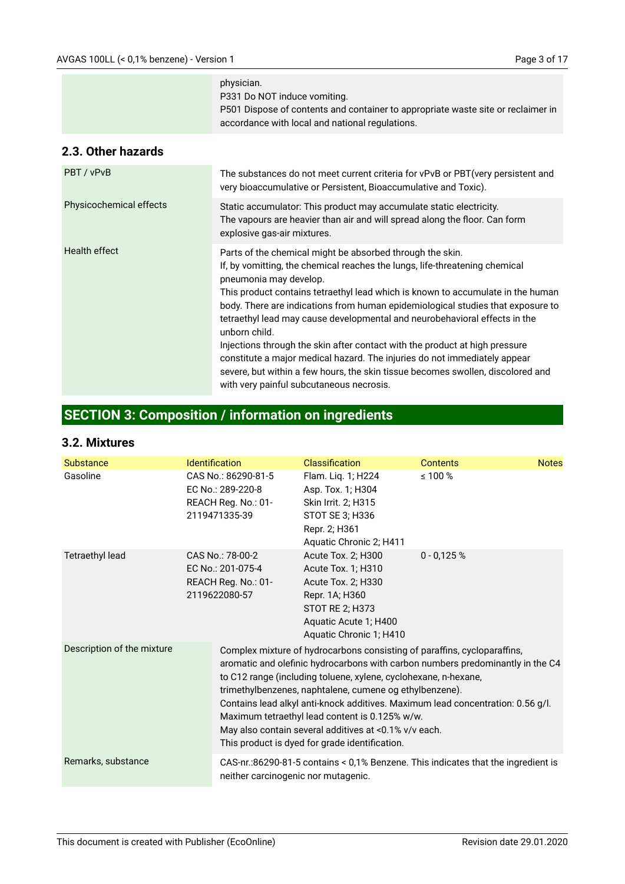|                         | physician.<br>P331 Do NOT induce vomiting.<br>P501 Dispose of contents and container to appropriate waste site or reclaimer in<br>accordance with local and national regulations.                                                                                                                                                                                                                                                                                                                                                                                                                                                                                                                                                  |
|-------------------------|------------------------------------------------------------------------------------------------------------------------------------------------------------------------------------------------------------------------------------------------------------------------------------------------------------------------------------------------------------------------------------------------------------------------------------------------------------------------------------------------------------------------------------------------------------------------------------------------------------------------------------------------------------------------------------------------------------------------------------|
| 2.3. Other hazards      |                                                                                                                                                                                                                                                                                                                                                                                                                                                                                                                                                                                                                                                                                                                                    |
| PBT / vPvB              | The substances do not meet current criteria for vPvB or PBT (very persistent and<br>very bioaccumulative or Persistent, Bioaccumulative and Toxic).                                                                                                                                                                                                                                                                                                                                                                                                                                                                                                                                                                                |
| Physicochemical effects | Static accumulator: This product may accumulate static electricity.<br>The vapours are heavier than air and will spread along the floor. Can form<br>explosive gas-air mixtures.                                                                                                                                                                                                                                                                                                                                                                                                                                                                                                                                                   |
| Health effect           | Parts of the chemical might be absorbed through the skin.<br>If, by vomitting, the chemical reaches the lungs, life-threatening chemical<br>pneumonia may develop.<br>This product contains tetraethyl lead which is known to accumulate in the human<br>body. There are indications from human epidemiological studies that exposure to<br>tetraethyl lead may cause developmental and neurobehavioral effects in the<br>unborn child.<br>Injections through the skin after contact with the product at high pressure<br>constitute a major medical hazard. The injuries do not immediately appear<br>severe, but within a few hours, the skin tissue becomes swollen, discolored and<br>with very painful subcutaneous necrosis. |

# **SECTION 3: Composition / information on ingredients**

#### **3.2. Mixtures**

| <b>Substance</b>           | <b>Identification</b>                                                                                                                                                                                                                                                                                                                                                                                                                                                                                                                    | <b>Classification</b>                                                                                                                                   | <b>Contents</b>                                                                   | <b>Notes</b> |
|----------------------------|------------------------------------------------------------------------------------------------------------------------------------------------------------------------------------------------------------------------------------------------------------------------------------------------------------------------------------------------------------------------------------------------------------------------------------------------------------------------------------------------------------------------------------------|---------------------------------------------------------------------------------------------------------------------------------------------------------|-----------------------------------------------------------------------------------|--------------|
| Gasoline                   | CAS No.: 86290-81-5<br>EC No.: 289-220-8<br>REACH Reg. No.: 01-<br>2119471335-39                                                                                                                                                                                                                                                                                                                                                                                                                                                         | Flam. Liq. 1; H224<br>Asp. Tox. 1; H304<br>Skin Irrit. 2; H315<br>STOT SE 3; H336<br>Repr. 2; H361<br>Aquatic Chronic 2; H411                           | $\leq 100 \%$                                                                     |              |
| <b>Tetraethyl lead</b>     | CAS No.: 78-00-2<br>EC No.: 201-075-4<br>REACH Reg. No.: 01-<br>2119622080-57                                                                                                                                                                                                                                                                                                                                                                                                                                                            | Acute Tox. 2; H300<br>Acute Tox. 1; H310<br>Acute Tox. 2; H330<br>Repr. 1A; H360<br>STOT RE 2; H373<br>Aquatic Acute 1; H400<br>Aquatic Chronic 1; H410 | $0 - 0,125%$                                                                      |              |
| Description of the mixture | Complex mixture of hydrocarbons consisting of paraffins, cycloparaffins,<br>aromatic and olefinic hydrocarbons with carbon numbers predominantly in the C4<br>to C12 range (including toluene, xylene, cyclohexane, n-hexane,<br>trimethylbenzenes, naphtalene, cumene og ethylbenzene).<br>Contains lead alkyl anti-knock additives. Maximum lead concentration: 0.56 g/l.<br>Maximum tetraethyl lead content is 0.125% w/w.<br>May also contain several additives at <0.1% v/v each.<br>This product is dyed for grade identification. |                                                                                                                                                         |                                                                                   |              |
| Remarks, substance         | neither carcinogenic nor mutagenic.                                                                                                                                                                                                                                                                                                                                                                                                                                                                                                      |                                                                                                                                                         | CAS-nr.:86290-81-5 contains < 0,1% Benzene. This indicates that the ingredient is |              |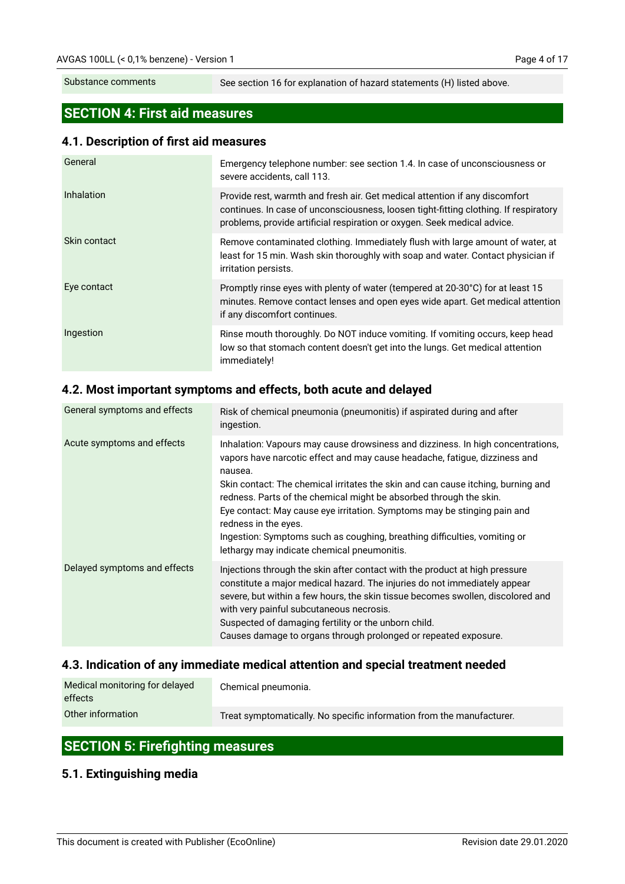Substance comments

See section 16 for explanation of hazard statements (H) listed above.

## **SECTION 4: First aid measures**

#### **4.1. Description of first aid measures**

| General             | Emergency telephone number: see section 1.4. In case of unconsciousness or<br>severe accidents, call 113.                                                                                                                                       |
|---------------------|-------------------------------------------------------------------------------------------------------------------------------------------------------------------------------------------------------------------------------------------------|
| <b>Inhalation</b>   | Provide rest, warmth and fresh air. Get medical attention if any discomfort<br>continues. In case of unconsciousness, loosen tight-fitting clothing. If respiratory<br>problems, provide artificial respiration or oxygen. Seek medical advice. |
| <b>Skin contact</b> | Remove contaminated clothing. Immediately flush with large amount of water, at<br>least for 15 min. Wash skin thoroughly with soap and water. Contact physician if<br>irritation persists.                                                      |
| Eye contact         | Promptly rinse eyes with plenty of water (tempered at 20-30°C) for at least 15<br>minutes. Remove contact lenses and open eyes wide apart. Get medical attention<br>if any discomfort continues.                                                |
| Ingestion           | Rinse mouth thoroughly. Do NOT induce vomiting. If vomiting occurs, keep head<br>low so that stomach content doesn't get into the lungs. Get medical attention<br>immediately!                                                                  |

## **4.2. Most important symptoms and effects, both acute and delayed**

| General symptoms and effects | Risk of chemical pneumonia (pneumonitis) if aspirated during and after<br>ingestion.                                                                                                                                                                                                                                                                                                                                                                                                                                                                               |  |
|------------------------------|--------------------------------------------------------------------------------------------------------------------------------------------------------------------------------------------------------------------------------------------------------------------------------------------------------------------------------------------------------------------------------------------------------------------------------------------------------------------------------------------------------------------------------------------------------------------|--|
| Acute symptoms and effects   | Inhalation: Vapours may cause drowsiness and dizziness. In high concentrations,<br>vapors have narcotic effect and may cause headache, fatigue, dizziness and<br>nausea.<br>Skin contact: The chemical irritates the skin and can cause itching, burning and<br>redness. Parts of the chemical might be absorbed through the skin.<br>Eye contact: May cause eye irritation. Symptoms may be stinging pain and<br>redness in the eyes.<br>Ingestion: Symptoms such as coughing, breathing difficulties, vomiting or<br>lethargy may indicate chemical pneumonitis. |  |
| Delayed symptoms and effects | Injections through the skin after contact with the product at high pressure<br>constitute a major medical hazard. The injuries do not immediately appear<br>severe, but within a few hours, the skin tissue becomes swollen, discolored and<br>with very painful subcutaneous necrosis.<br>Suspected of damaging fertility or the unborn child.<br>Causes damage to organs through prolonged or repeated exposure.                                                                                                                                                 |  |

## **4.3. Indication of any immediate medical attention and special treatment needed**

| Medical monitoring for delayed<br>effects | Chemical pneumonia.                                                   |
|-------------------------------------------|-----------------------------------------------------------------------|
| Other information                         | Treat symptomatically. No specific information from the manufacturer. |

## **SECTION 5: Firefighting measures**

#### **5.1. Extinguishing media**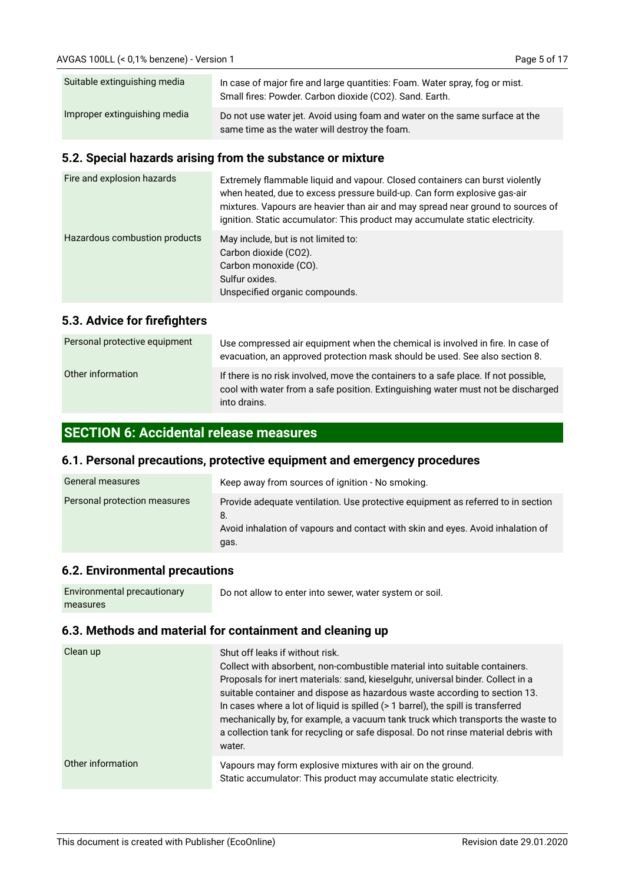| Suitable extinguishing media | In case of major fire and large quantities: Foam. Water spray, fog or mist.<br>Small fires: Powder. Carbon dioxide (CO2). Sand. Earth. |  |
|------------------------------|----------------------------------------------------------------------------------------------------------------------------------------|--|
| Improper extinguishing media | Do not use water jet. Avoid using foam and water on the same surface at the<br>same time as the water will destroy the foam.           |  |

#### **5.2. Special hazards arising from the substance or mixture**

| Fire and explosion hazards    | Extremely flammable liquid and vapour. Closed containers can burst violently<br>when heated, due to excess pressure build-up. Can form explosive gas-air<br>mixtures. Vapours are heavier than air and may spread near ground to sources of<br>ignition. Static accumulator: This product may accumulate static electricity. |
|-------------------------------|------------------------------------------------------------------------------------------------------------------------------------------------------------------------------------------------------------------------------------------------------------------------------------------------------------------------------|
| Hazardous combustion products | May include, but is not limited to:<br>Carbon dioxide (CO2).<br>Carbon monoxide (CO).<br>Sulfur oxides.<br>Unspecified organic compounds.                                                                                                                                                                                    |

## **5.3. Advice for firefighters**

| Personal protective equipment | Use compressed air equipment when the chemical is involved in fire. In case of<br>evacuation, an approved protection mask should be used. See also section 8.                           |
|-------------------------------|-----------------------------------------------------------------------------------------------------------------------------------------------------------------------------------------|
| Other information             | If there is no risk involved, move the containers to a safe place. If not possible,<br>cool with water from a safe position. Extinguishing water must not be discharged<br>into drains. |

## **SECTION 6: Accidental release measures**

#### **6.1. Personal precautions, protective equipment and emergency procedures**

| General measures             | Keep away from sources of ignition - No smoking.                                                                                                                                  |  |
|------------------------------|-----------------------------------------------------------------------------------------------------------------------------------------------------------------------------------|--|
| Personal protection measures | Provide adequate ventilation. Use protective equipment as referred to in section<br>8.<br>Avoid inhalation of vapours and contact with skin and eyes. Avoid inhalation of<br>gas. |  |

#### **6.2. Environmental precautions**

| Environmental precautionary | Do not allow to enter into sewer, water system or soil. |
|-----------------------------|---------------------------------------------------------|
| measures                    |                                                         |

## **6.3. Methods and material for containment and cleaning up**

| Clean up          | Shut off leaks if without risk.<br>Collect with absorbent, non-combustible material into suitable containers.<br>Proposals for inert materials: sand, kieselguhr, universal binder. Collect in a<br>suitable container and dispose as hazardous waste according to section 13.<br>In cases where a lot of liquid is spilled (> 1 barrel), the spill is transferred<br>mechanically by, for example, a vacuum tank truck which transports the waste to<br>a collection tank for recycling or safe disposal. Do not rinse material debris with<br>water. |
|-------------------|--------------------------------------------------------------------------------------------------------------------------------------------------------------------------------------------------------------------------------------------------------------------------------------------------------------------------------------------------------------------------------------------------------------------------------------------------------------------------------------------------------------------------------------------------------|
| Other information | Vapours may form explosive mixtures with air on the ground.<br>Static accumulator: This product may accumulate static electricity.                                                                                                                                                                                                                                                                                                                                                                                                                     |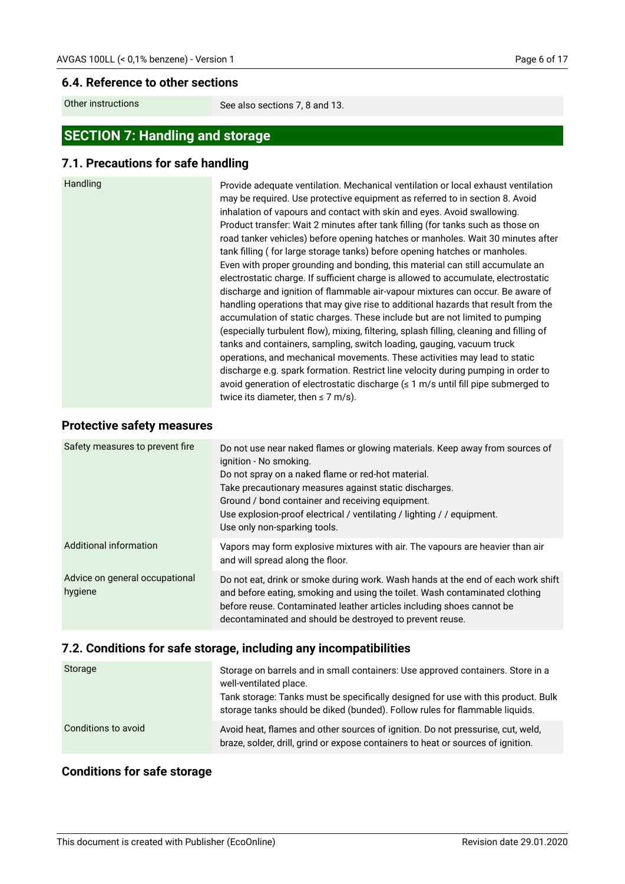#### **6.4. Reference to other sections**

Other instructions

See also sections 7, 8 and 13.

## **SECTION 7: Handling and storage**

## **7.1. Precautions for safe handling**

| Handling<br>Provide adequate ventilation. Mechanical ventilation or local exhaust ventilation<br>may be required. Use protective equipment as referred to in section 8. Avoid<br>inhalation of vapours and contact with skin and eyes. Avoid swallowing.<br>Product transfer: Wait 2 minutes after tank filling (for tanks such as those on<br>road tanker vehicles) before opening hatches or manholes. Wait 30 minutes after<br>tank filling (for large storage tanks) before opening hatches or manholes.<br>Even with proper grounding and bonding, this material can still accumulate an<br>electrostatic charge. If sufficient charge is allowed to accumulate, electrostatic<br>discharge and ignition of flammable air-vapour mixtures can occur. Be aware of<br>handling operations that may give rise to additional hazards that result from the<br>accumulation of static charges. These include but are not limited to pumping<br>(especially turbulent flow), mixing, filtering, splash filling, cleaning and filling of<br>tanks and containers, sampling, switch loading, gauging, vacuum truck<br>operations, and mechanical movements. These activities may lead to static<br>discharge e.g. spark formation. Restrict line velocity during pumping in order to<br>avoid generation of electrostatic discharge (≤ 1 m/s until fill pipe submerged to |  |
|-----------------------------------------------------------------------------------------------------------------------------------------------------------------------------------------------------------------------------------------------------------------------------------------------------------------------------------------------------------------------------------------------------------------------------------------------------------------------------------------------------------------------------------------------------------------------------------------------------------------------------------------------------------------------------------------------------------------------------------------------------------------------------------------------------------------------------------------------------------------------------------------------------------------------------------------------------------------------------------------------------------------------------------------------------------------------------------------------------------------------------------------------------------------------------------------------------------------------------------------------------------------------------------------------------------------------------------------------------------------------|--|
|-----------------------------------------------------------------------------------------------------------------------------------------------------------------------------------------------------------------------------------------------------------------------------------------------------------------------------------------------------------------------------------------------------------------------------------------------------------------------------------------------------------------------------------------------------------------------------------------------------------------------------------------------------------------------------------------------------------------------------------------------------------------------------------------------------------------------------------------------------------------------------------------------------------------------------------------------------------------------------------------------------------------------------------------------------------------------------------------------------------------------------------------------------------------------------------------------------------------------------------------------------------------------------------------------------------------------------------------------------------------------|--|

## **Protective safety measures**

| Safety measures to prevent fire           | Do not use near naked flames or glowing materials. Keep away from sources of<br>ignition - No smoking.<br>Do not spray on a naked flame or red-hot material.<br>Take precautionary measures against static discharges.<br>Ground / bond container and receiving equipment.<br>Use explosion-proof electrical / ventilating / lighting / / equipment.<br>Use only non-sparking tools. |
|-------------------------------------------|--------------------------------------------------------------------------------------------------------------------------------------------------------------------------------------------------------------------------------------------------------------------------------------------------------------------------------------------------------------------------------------|
| Additional information                    | Vapors may form explosive mixtures with air. The vapours are heavier than air<br>and will spread along the floor.                                                                                                                                                                                                                                                                    |
| Advice on general occupational<br>hygiene | Do not eat, drink or smoke during work. Wash hands at the end of each work shift<br>and before eating, smoking and using the toilet. Wash contaminated clothing<br>before reuse. Contaminated leather articles including shoes cannot be<br>decontaminated and should be destroyed to prevent reuse.                                                                                 |

## **7.2. Conditions for safe storage, including any incompatibilities**

| Storage             | Storage on barrels and in small containers: Use approved containers. Store in a<br>well-ventilated place.<br>Tank storage: Tanks must be specifically designed for use with this product. Bulk<br>storage tanks should be diked (bunded). Follow rules for flammable liquids. |
|---------------------|-------------------------------------------------------------------------------------------------------------------------------------------------------------------------------------------------------------------------------------------------------------------------------|
| Conditions to avoid | Avoid heat, flames and other sources of ignition. Do not pressurise, cut, weld,<br>braze, solder, drill, grind or expose containers to heat or sources of ignition.                                                                                                           |

## **Conditions for safe storage**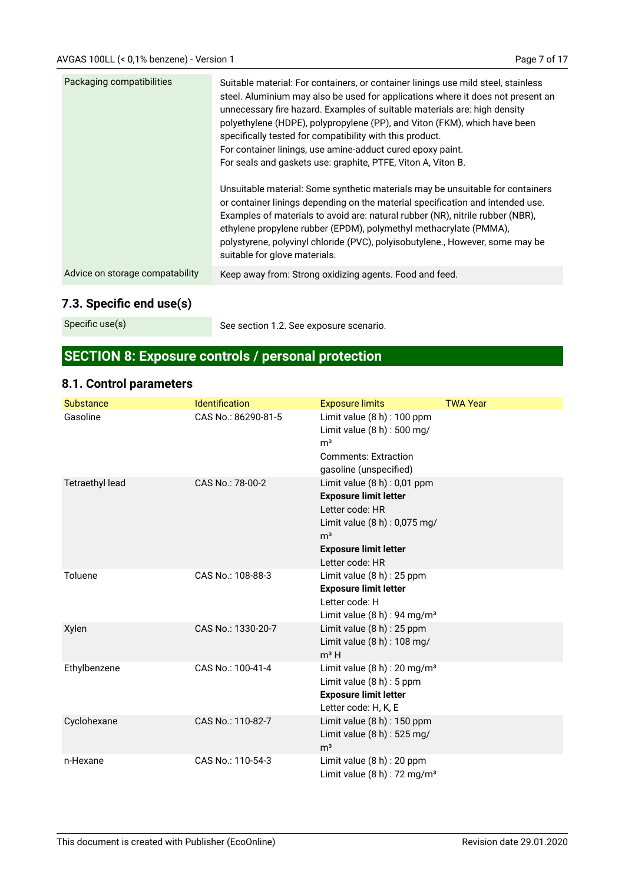| Packaging compatibilities       | Suitable material: For containers, or container linings use mild steel, stainless<br>steel. Aluminium may also be used for applications where it does not present an<br>unnecessary fire hazard. Examples of suitable materials are: high density<br>polyethylene (HDPE), polypropylene (PP), and Viton (FKM), which have been<br>specifically tested for compatibility with this product.<br>For container linings, use amine-adduct cured epoxy paint.<br>For seals and gaskets use: graphite, PTFE, Viton A, Viton B.<br>Unsuitable material: Some synthetic materials may be unsuitable for containers<br>or container linings depending on the material specification and intended use.<br>Examples of materials to avoid are: natural rubber (NR), nitrile rubber (NBR),<br>ethylene propylene rubber (EPDM), polymethyl methacrylate (PMMA),<br>polystyrene, polyvinyl chloride (PVC), polyisobutylene., However, some may be<br>suitable for glove materials. |
|---------------------------------|-----------------------------------------------------------------------------------------------------------------------------------------------------------------------------------------------------------------------------------------------------------------------------------------------------------------------------------------------------------------------------------------------------------------------------------------------------------------------------------------------------------------------------------------------------------------------------------------------------------------------------------------------------------------------------------------------------------------------------------------------------------------------------------------------------------------------------------------------------------------------------------------------------------------------------------------------------------------------|
| Advice on storage compatability | Keep away from: Strong oxidizing agents. Food and feed.                                                                                                                                                                                                                                                                                                                                                                                                                                                                                                                                                                                                                                                                                                                                                                                                                                                                                                               |
|                                 |                                                                                                                                                                                                                                                                                                                                                                                                                                                                                                                                                                                                                                                                                                                                                                                                                                                                                                                                                                       |

## **7.3. Specific end use(s)**

Specific use(s)

See section 1.2. See exposure scenario.

# **SECTION 8: Exposure controls / personal protection**

## **8.1. Control parameters**

| <b>Substance</b>       | Identification      | <b>Exposure limits</b>                                                                                                                                                                  | <b>TWA Year</b> |
|------------------------|---------------------|-----------------------------------------------------------------------------------------------------------------------------------------------------------------------------------------|-----------------|
| Gasoline               | CAS No.: 86290-81-5 | Limit value $(8 h)$ : 100 ppm<br>Limit value (8 h) : 500 mg/<br>m <sup>3</sup><br><b>Comments: Extraction</b><br>gasoline (unspecified)                                                 |                 |
| <b>Tetraethyl lead</b> | CAS No.: 78-00-2    | Limit value $(8 h)$ : 0,01 ppm<br><b>Exposure limit letter</b><br>Letter code: HR<br>Limit value (8 h) : 0,075 mg/<br>m <sup>3</sup><br><b>Exposure limit letter</b><br>Letter code: HR |                 |
| Toluene                | CAS No.: 108-88-3   | Limit value $(8 h)$ : 25 ppm<br><b>Exposure limit letter</b><br>Letter code: H<br>Limit value $(8 h)$ : 94 mg/m <sup>3</sup>                                                            |                 |
| Xylen                  | CAS No.: 1330-20-7  | Limit value (8 h) : 25 ppm<br>Limit value $(8 h)$ : 108 mg/<br>$m3$ H                                                                                                                   |                 |
| Ethylbenzene           | CAS No.: 100-41-4   | Limit value $(8 h)$ : 20 mg/m <sup>3</sup><br>Limit value $(8 h)$ : 5 ppm<br><b>Exposure limit letter</b><br>Letter code: H, K, E                                                       |                 |
| Cyclohexane            | CAS No.: 110-82-7   | Limit value $(8 h)$ : 150 ppm<br>Limit value (8 h) : 525 mg/<br>m <sup>3</sup>                                                                                                          |                 |
| n-Hexane               | CAS No.: 110-54-3   | Limit value $(8 h)$ : 20 ppm<br>Limit value $(8 h)$ : 72 mg/m <sup>3</sup>                                                                                                              |                 |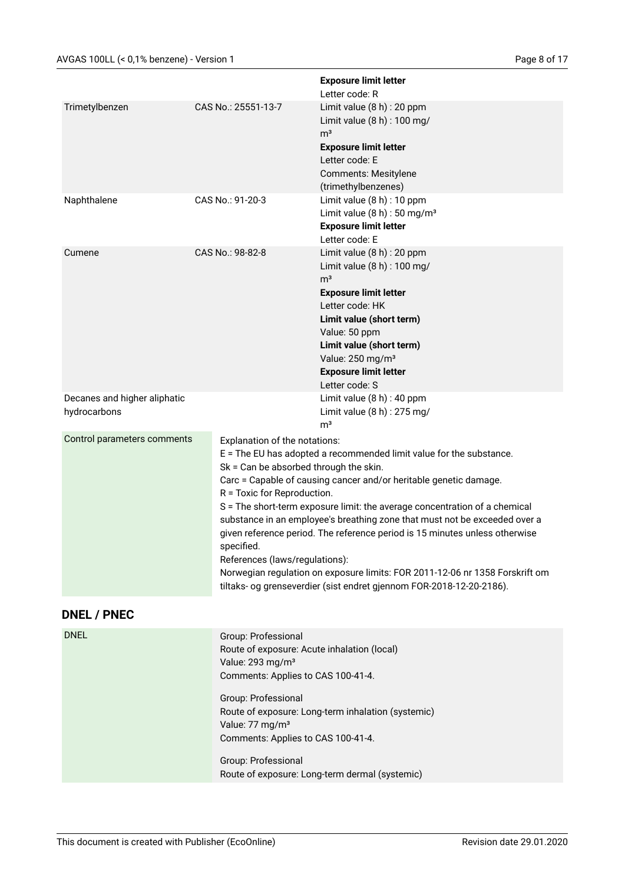|                                              |                                                                                                                                                                                                                                      | <b>Exposure limit letter</b><br>Letter code: R                                                                                                                                                                                                                                                                                                                                                                                                                                                                                                                                                                                                                                          |  |
|----------------------------------------------|--------------------------------------------------------------------------------------------------------------------------------------------------------------------------------------------------------------------------------------|-----------------------------------------------------------------------------------------------------------------------------------------------------------------------------------------------------------------------------------------------------------------------------------------------------------------------------------------------------------------------------------------------------------------------------------------------------------------------------------------------------------------------------------------------------------------------------------------------------------------------------------------------------------------------------------------|--|
| Trimetylbenzen                               | CAS No.: 25551-13-7                                                                                                                                                                                                                  | Limit value $(8 h)$ : 20 ppm<br>Limit value (8 h) : 100 mg/<br>m <sup>3</sup><br><b>Exposure limit letter</b><br>Letter code: E<br><b>Comments: Mesitylene</b><br>(trimethylbenzenes)                                                                                                                                                                                                                                                                                                                                                                                                                                                                                                   |  |
| Naphthalene                                  | CAS No.: 91-20-3                                                                                                                                                                                                                     | Limit value (8 h) : 10 ppm<br>Limit value $(8 h)$ : 50 mg/m <sup>3</sup><br><b>Exposure limit letter</b><br>Letter code: E                                                                                                                                                                                                                                                                                                                                                                                                                                                                                                                                                              |  |
| Cumene                                       | CAS No.: 98-82-8                                                                                                                                                                                                                     | Limit value $(8 h)$ : 20 ppm<br>Limit value (8 h) : 100 mg/<br>m <sup>3</sup><br><b>Exposure limit letter</b><br>Letter code: HK<br>Limit value (short term)<br>Value: 50 ppm<br>Limit value (short term)<br>Value: 250 mg/m <sup>3</sup><br><b>Exposure limit letter</b><br>Letter code: S                                                                                                                                                                                                                                                                                                                                                                                             |  |
| Decanes and higher aliphatic<br>hydrocarbons |                                                                                                                                                                                                                                      | Limit value (8 h) : 40 ppm<br>Limit value (8 h) : 275 mg/<br>m <sup>3</sup>                                                                                                                                                                                                                                                                                                                                                                                                                                                                                                                                                                                                             |  |
| Control parameters comments                  | specified.                                                                                                                                                                                                                           | Explanation of the notations:<br>E = The EU has adopted a recommended limit value for the substance.<br>Sk = Can be absorbed through the skin.<br>Carc = Capable of causing cancer and/or heritable genetic damage.<br>R = Toxic for Reproduction.<br>S = The short-term exposure limit: the average concentration of a chemical<br>substance in an employee's breathing zone that must not be exceeded over a<br>given reference period. The reference period is 15 minutes unless otherwise<br>References (laws/regulations):<br>Norwegian regulation on exposure limits: FOR 2011-12-06 nr 1358 Forskrift om<br>tiltaks- og grenseverdier (sist endret gjennom FOR-2018-12-20-2186). |  |
| <b>DNEL / PNEC</b>                           |                                                                                                                                                                                                                                      |                                                                                                                                                                                                                                                                                                                                                                                                                                                                                                                                                                                                                                                                                         |  |
| <b>DNEL</b>                                  | Group: Professional<br>Route of exposure: Acute inhalation (local)<br>Value: 293 mg/m <sup>3</sup><br>Comments: Applies to CAS 100-41-4.<br>Group: Professional<br>Value: 77 mg/m <sup>3</sup><br>Comments: Applies to CAS 100-41-4. | Route of exposure: Long-term inhalation (systemic)                                                                                                                                                                                                                                                                                                                                                                                                                                                                                                                                                                                                                                      |  |

Group: Professional Route of exposure: Long-term dermal (systemic)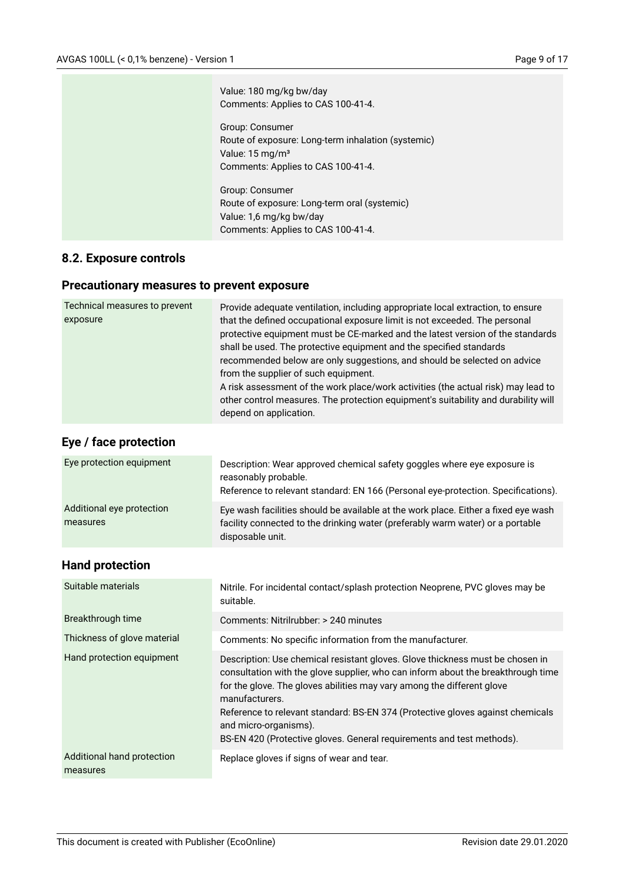| Value: 180 mg/kg bw/day<br>Comments: Applies to CAS 100-41-4.                                                                                |
|----------------------------------------------------------------------------------------------------------------------------------------------|
| Group: Consumer<br>Route of exposure: Long-term inhalation (systemic)<br>Value: $15 \,\mathrm{mg/m^3}$<br>Comments: Applies to CAS 100-41-4. |
| Group: Consumer<br>Route of exposure: Long-term oral (systemic)<br>Value: 1,6 mg/kg bw/day<br>Comments: Applies to CAS 100-41-4.             |

## **8.2. Exposure controls**

## **Precautionary measures to prevent exposure**

| Technical measures to prevent<br>exposure | Provide adequate ventilation, including appropriate local extraction, to ensure<br>that the defined occupational exposure limit is not exceeded. The personal<br>protective equipment must be CE-marked and the latest version of the standards<br>shall be used. The protective equipment and the specified standards<br>recommended below are only suggestions, and should be selected on advice<br>from the supplier of such equipment.<br>A risk assessment of the work place/work activities (the actual risk) may lead to<br>other control measures. The protection equipment's suitability and durability will<br>depend on application. |
|-------------------------------------------|-------------------------------------------------------------------------------------------------------------------------------------------------------------------------------------------------------------------------------------------------------------------------------------------------------------------------------------------------------------------------------------------------------------------------------------------------------------------------------------------------------------------------------------------------------------------------------------------------------------------------------------------------|
|-------------------------------------------|-------------------------------------------------------------------------------------------------------------------------------------------------------------------------------------------------------------------------------------------------------------------------------------------------------------------------------------------------------------------------------------------------------------------------------------------------------------------------------------------------------------------------------------------------------------------------------------------------------------------------------------------------|

## **Eye / face protection**

| Eye protection equipment              | Description: Wear approved chemical safety goggles where eye exposure is<br>reasonably probable.<br>Reference to relevant standard: EN 166 (Personal eye-protection. Specifications).    |
|---------------------------------------|------------------------------------------------------------------------------------------------------------------------------------------------------------------------------------------|
| Additional eye protection<br>measures | Eye wash facilities should be available at the work place. Either a fixed eye wash<br>facility connected to the drinking water (preferably warm water) or a portable<br>disposable unit. |

## **Hand protection**

| Suitable materials                     | Nitrile. For incidental contact/splash protection Neoprene, PVC gloves may be<br>suitable.                                                                                                                                                                                                                                                                                                                                                        |
|----------------------------------------|---------------------------------------------------------------------------------------------------------------------------------------------------------------------------------------------------------------------------------------------------------------------------------------------------------------------------------------------------------------------------------------------------------------------------------------------------|
| Breakthrough time                      | Comments: Nitrilrubber: > 240 minutes                                                                                                                                                                                                                                                                                                                                                                                                             |
| Thickness of glove material            | Comments: No specific information from the manufacturer.                                                                                                                                                                                                                                                                                                                                                                                          |
| Hand protection equipment              | Description: Use chemical resistant gloves. Glove thickness must be chosen in<br>consultation with the glove supplier, who can inform about the breakthrough time<br>for the glove. The gloves abilities may vary among the different glove<br>manufacturers.<br>Reference to relevant standard: BS-EN 374 (Protective gloves against chemicals<br>and micro-organisms).<br>BS-EN 420 (Protective gloves. General requirements and test methods). |
| Additional hand protection<br>measures | Replace gloves if signs of wear and tear.                                                                                                                                                                                                                                                                                                                                                                                                         |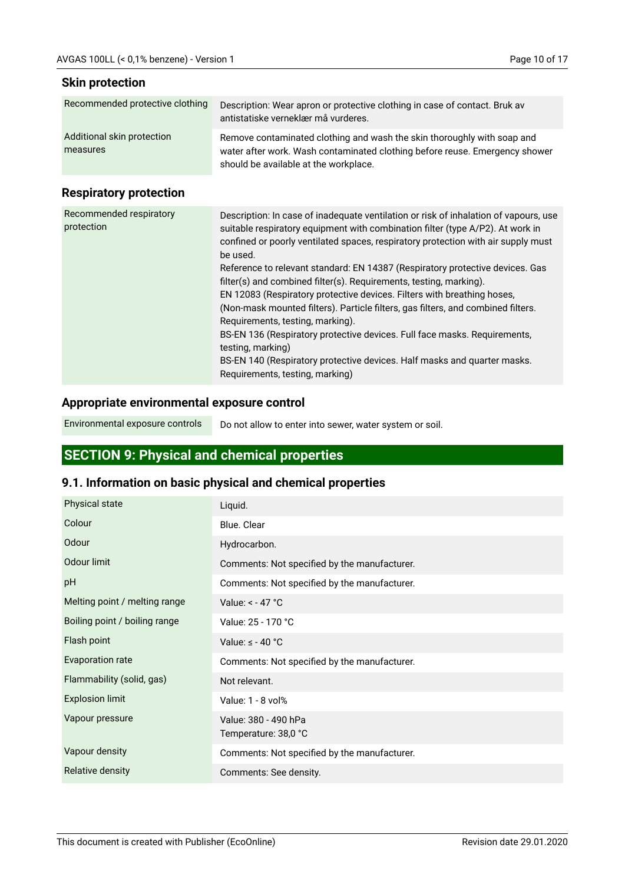#### **Skin protection**

| Recommended protective clothing | Description: Wear apron or protective clothing in case of contact. Bruk av<br>antistatiske verneklær må vurderes.    |
|---------------------------------|----------------------------------------------------------------------------------------------------------------------|
| Additional skin protection      | Remove contaminated clothing and wash the skin thoroughly with soap and                                              |
| measures                        | water after work. Wash contaminated clothing before reuse. Emergency shower<br>should be available at the workplace. |

## **Respiratory protection**

| Recommended respiratory<br>protection | Description: In case of inadequate ventilation or risk of inhalation of vapours, use<br>suitable respiratory equipment with combination filter (type A/P2). At work in<br>confined or poorly ventilated spaces, respiratory protection with air supply must<br>be used.<br>Reference to relevant standard: EN 14387 (Respiratory protective devices. Gas<br>filter(s) and combined filter(s). Requirements, testing, marking).<br>EN 12083 (Respiratory protective devices. Filters with breathing hoses,<br>(Non-mask mounted filters). Particle filters, gas filters, and combined filters.<br>Requirements, testing, marking).<br>BS-EN 136 (Respiratory protective devices. Full face masks. Requirements,<br>testing, marking)<br>BS-EN 140 (Respiratory protective devices. Half masks and quarter masks. |
|---------------------------------------|-----------------------------------------------------------------------------------------------------------------------------------------------------------------------------------------------------------------------------------------------------------------------------------------------------------------------------------------------------------------------------------------------------------------------------------------------------------------------------------------------------------------------------------------------------------------------------------------------------------------------------------------------------------------------------------------------------------------------------------------------------------------------------------------------------------------|
|                                       | Requirements, testing, marking)                                                                                                                                                                                                                                                                                                                                                                                                                                                                                                                                                                                                                                                                                                                                                                                 |

#### **Appropriate environmental exposure control**

Environmental exposure controls

Do not allow to enter into sewer, water system or soil.

## **SECTION 9: Physical and chemical properties**

## **9.1. Information on basic physical and chemical properties**

| Physical state                | Liquid.                                      |
|-------------------------------|----------------------------------------------|
| Colour                        | Blue. Clear                                  |
| Odour                         | Hydrocarbon.                                 |
| Odour limit                   | Comments: Not specified by the manufacturer. |
| pH                            | Comments: Not specified by the manufacturer. |
| Melting point / melting range | Value: $< -47$ °C                            |
| Boiling point / boiling range | Value: 25 - 170 °C                           |
| Flash point                   | Value: $\leq$ - 40 °C                        |
| Evaporation rate              | Comments: Not specified by the manufacturer. |
| Flammability (solid, gas)     | Not relevant.                                |
| <b>Explosion limit</b>        | Value: 1 - 8 vol%                            |
| Vapour pressure               | Value: 380 - 490 hPa<br>Temperature: 38,0 °C |
| Vapour density                | Comments: Not specified by the manufacturer. |
| <b>Relative density</b>       | Comments: See density.                       |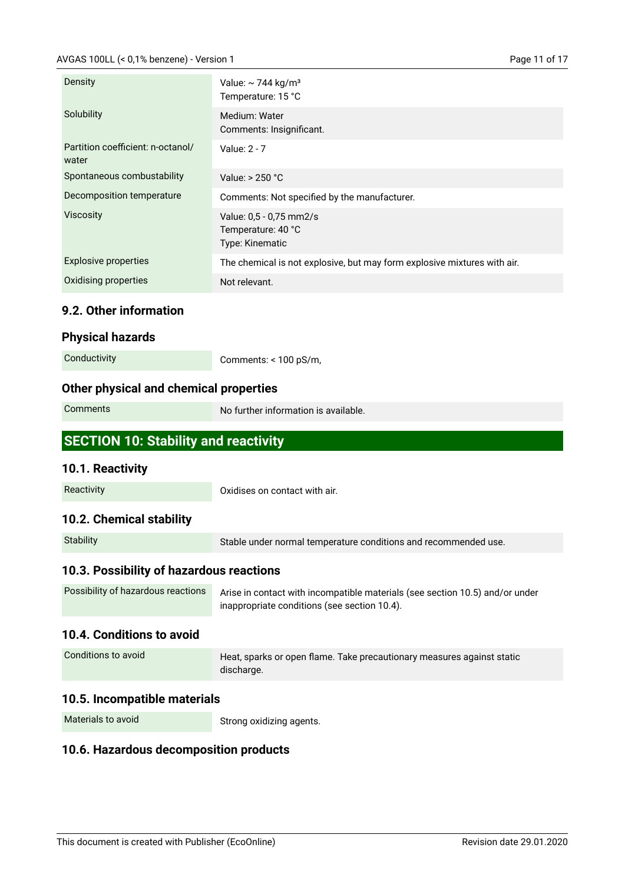#### AVGAS 100LL (< 0,1% benzene) - Version 1

| Page 11 of 17 |  |  |  |
|---------------|--|--|--|
|---------------|--|--|--|

| Density                                    | Value: $\sim$ 744 kg/m <sup>3</sup><br>Temperature: 15 °C                |
|--------------------------------------------|--------------------------------------------------------------------------|
| Solubility                                 | Medium: Water<br>Comments: Insignificant.                                |
| Partition coefficient: n-octanol/<br>water | Value: 2 - 7                                                             |
| Spontaneous combustability                 | Value: > 250 °C                                                          |
| Decomposition temperature                  | Comments: Not specified by the manufacturer.                             |
| <b>Viscosity</b>                           | Value: 0,5 - 0,75 mm2/s<br>Temperature: 40 °C<br>Type: Kinematic         |
| <b>Explosive properties</b>                | The chemical is not explosive, but may form explosive mixtures with air. |
| <b>Oxidising properties</b>                | Not relevant.                                                            |
| 9.2. Other information                     |                                                                          |

| Physical hazards |  |  |  |  |
|------------------|--|--|--|--|
|------------------|--|--|--|--|

Comments: < 100 pS/m,

## **Other physical and chemical properties**

| Comments |  |
|----------|--|
|----------|--|

No further information is available.

## **SECTION 10: Stability and reactivity**

#### **10.1. Reactivity**

| Reactivity | Oxidises on contact with air. |
|------------|-------------------------------|
|            |                               |

#### **10.2. Chemical stability**

| Stability | Stable under normal temperature conditions and recommended use. |
|-----------|-----------------------------------------------------------------|
|           |                                                                 |

## **10.3. Possibility of hazardous reactions**

| Possibility of hazardous reactions | Arise in contact with incompatible materials (see section 10.5) and/or under |
|------------------------------------|------------------------------------------------------------------------------|
|                                    | inappropriate conditions (see section 10.4).                                 |

#### **10.4. Conditions to avoid**

| Conditions to avoid | Heat, sparks or open flame. Take precautionary measures against static |
|---------------------|------------------------------------------------------------------------|
|                     | discharge.                                                             |

#### **10.5. Incompatible materials**

Materials to avoid

Strong oxidizing agents.

#### **10.6. Hazardous decomposition products**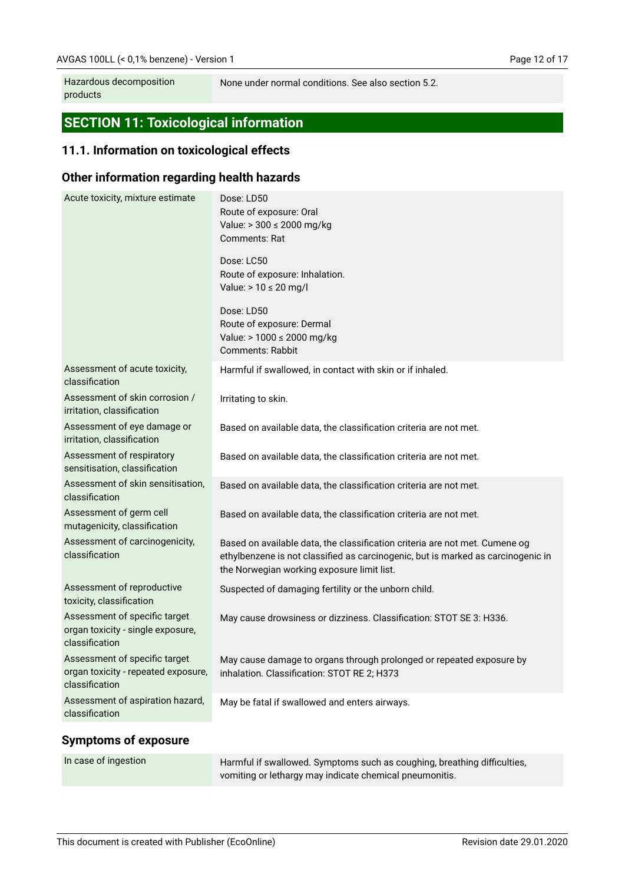Hazardous decomposition products

None under normal conditions. See also section 5.2.

# **SECTION 11: Toxicological information**

## **11.1. Information on toxicological effects**

#### **Other information regarding health hazards**

| Acute toxicity, mixture estimate                                                       | Dose: LD50<br>Route of exposure: Oral<br>Value: > 300 ≤ 2000 mg/kg<br>Comments: Rat                                                                                                                           |
|----------------------------------------------------------------------------------------|---------------------------------------------------------------------------------------------------------------------------------------------------------------------------------------------------------------|
|                                                                                        | Dose: LC50<br>Route of exposure: Inhalation.<br>Value: $> 10 \le 20$ mg/l                                                                                                                                     |
|                                                                                        | Dose: LD50<br>Route of exposure: Dermal<br>Value: > 1000 ≤ 2000 mg/kg<br><b>Comments: Rabbit</b>                                                                                                              |
| Assessment of acute toxicity,<br>classification                                        | Harmful if swallowed, in contact with skin or if inhaled.                                                                                                                                                     |
| Assessment of skin corrosion /<br>irritation, classification                           | Irritating to skin.                                                                                                                                                                                           |
| Assessment of eye damage or<br>irritation, classification                              | Based on available data, the classification criteria are not met.                                                                                                                                             |
| Assessment of respiratory<br>sensitisation, classification                             | Based on available data, the classification criteria are not met.                                                                                                                                             |
| Assessment of skin sensitisation,<br>classification                                    | Based on available data, the classification criteria are not met.                                                                                                                                             |
| Assessment of germ cell<br>mutagenicity, classification                                | Based on available data, the classification criteria are not met.                                                                                                                                             |
| Assessment of carcinogenicity,<br>classification                                       | Based on available data, the classification criteria are not met. Cumene og<br>ethylbenzene is not classified as carcinogenic, but is marked as carcinogenic in<br>the Norwegian working exposure limit list. |
| Assessment of reproductive<br>toxicity, classification                                 | Suspected of damaging fertility or the unborn child.                                                                                                                                                          |
| Assessment of specific target<br>organ toxicity - single exposure,<br>classification   | May cause drowsiness or dizziness. Classification: STOT SE 3: H336.                                                                                                                                           |
| Assessment of specific target<br>organ toxicity - repeated exposure,<br>classification | May cause damage to organs through prolonged or repeated exposure by<br>inhalation. Classification: STOT RE 2; H373                                                                                           |
| Assessment of aspiration hazard,<br>classification                                     | May be fatal if swallowed and enters airways.                                                                                                                                                                 |
|                                                                                        |                                                                                                                                                                                                               |

#### **Symptoms of exposure**

| In case of ingestion | Harmful if swallowed. Symptoms such as coughing, breathing difficulties, |
|----------------------|--------------------------------------------------------------------------|
|                      | vomiting or lethargy may indicate chemical pneumonitis.                  |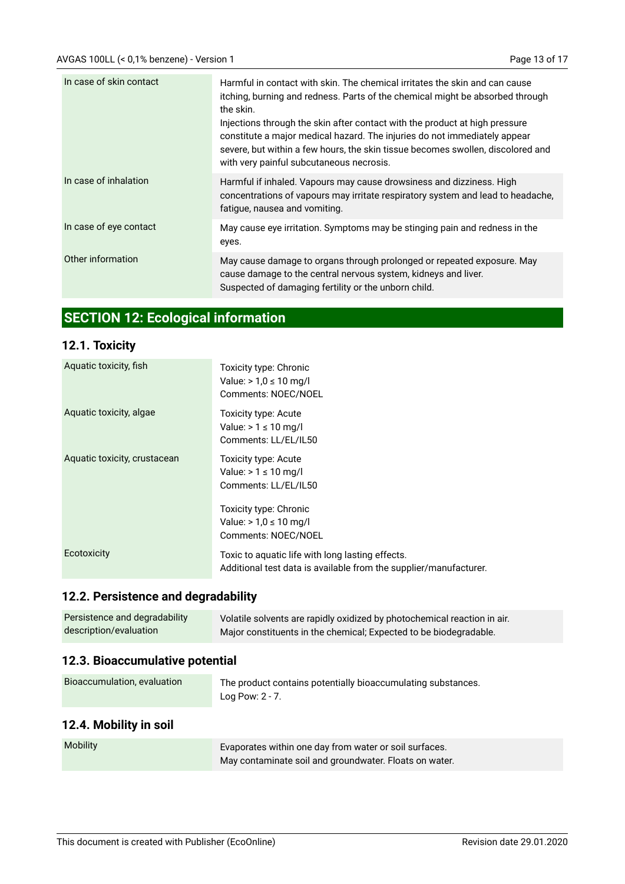| In case of skin contact | Harmful in contact with skin. The chemical irritates the skin and can cause<br>itching, burning and redness. Parts of the chemical might be absorbed through<br>the skin.<br>Injections through the skin after contact with the product at high pressure<br>constitute a major medical hazard. The injuries do not immediately appear<br>severe, but within a few hours, the skin tissue becomes swollen, discolored and<br>with very painful subcutaneous necrosis. |
|-------------------------|----------------------------------------------------------------------------------------------------------------------------------------------------------------------------------------------------------------------------------------------------------------------------------------------------------------------------------------------------------------------------------------------------------------------------------------------------------------------|
| In case of inhalation   | Harmful if inhaled. Vapours may cause drowsiness and dizziness. High<br>concentrations of vapours may irritate respiratory system and lead to headache,<br>fatigue, nausea and vomiting.                                                                                                                                                                                                                                                                             |
| In case of eye contact  | May cause eye irritation. Symptoms may be stinging pain and redness in the<br>eyes.                                                                                                                                                                                                                                                                                                                                                                                  |
| Other information       | May cause damage to organs through prolonged or repeated exposure. May<br>cause damage to the central nervous system, kidneys and liver.<br>Suspected of damaging fertility or the unborn child.                                                                                                                                                                                                                                                                     |

# **SECTION 12: Ecological information**

## **12.1. Toxicity**

| Aquatic toxicity, fish       | Toxicity type: Chronic<br>Value: > $1,0 ≤ 10$ mg/l<br>Comments: NOEC/NOEL                                             |
|------------------------------|-----------------------------------------------------------------------------------------------------------------------|
| Aquatic toxicity, algae      | Toxicity type: Acute<br>Value: $> 1 \le 10$ mg/l<br>Comments: LL/EL/IL50                                              |
| Aquatic toxicity, crustacean | Toxicity type: Acute<br>Value: $> 1 \leq 10$ mg/l<br>Comments: LL/EL/IL50                                             |
|                              | Toxicity type: Chronic<br>Value: > $1,0 ≤ 10$ mg/l<br>Comments: NOEC/NOEL                                             |
| Ecotoxicity                  | Toxic to aquatic life with long lasting effects.<br>Additional test data is available from the supplier/manufacturer. |

## **12.2. Persistence and degradability**

| Persistence and degradability | Volatile solvents are rapidly oxidized by photochemical reaction in air. |
|-------------------------------|--------------------------------------------------------------------------|
| description/evaluation        | Major constituents in the chemical; Expected to be biodegradable.        |

## **12.3. Bioaccumulative potential**

| Bioaccumulation, evaluation | The product contains potentially bioaccumulating substances. |
|-----------------------------|--------------------------------------------------------------|
|                             | Log Pow: $2 - 7$ .                                           |

## **12.4. Mobility in soil**

| <b>Mobility</b> | Evaporates within one day from water or soil surfaces. |
|-----------------|--------------------------------------------------------|
|                 | May contaminate soil and groundwater. Floats on water. |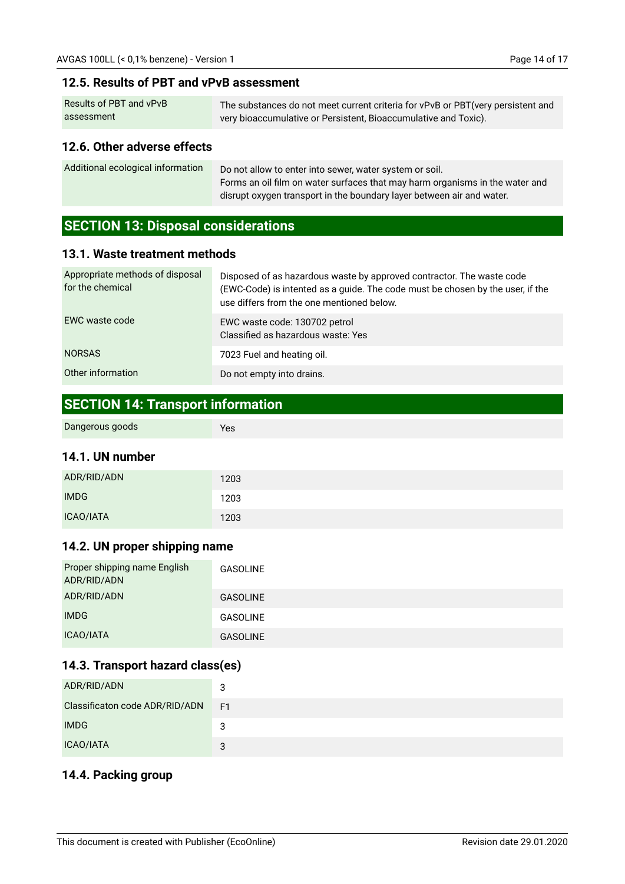#### **12.5. Results of PBT and vPvB assessment**

| Results of PBT and vPvB | The substances do not meet current criteria for vPvB or PBT (very persistent and |
|-------------------------|----------------------------------------------------------------------------------|
| assessment              | very bioaccumulative or Persistent, Bioaccumulative and Toxic).                  |

#### **12.6. Other adverse effects**

| Additional ecological information | Do not allow to enter into sewer, water system or soil.                      |
|-----------------------------------|------------------------------------------------------------------------------|
|                                   | Forms an oil film on water surfaces that may harm organisms in the water and |
|                                   | disrupt oxygen transport in the boundary layer between air and water.        |

## **SECTION 13: Disposal considerations**

#### **13.1. Waste treatment methods**

| Appropriate methods of disposal<br>for the chemical | Disposed of as hazardous waste by approved contractor. The waste code<br>(EWC-Code) is intented as a guide. The code must be chosen by the user, if the<br>use differs from the one mentioned below. |
|-----------------------------------------------------|------------------------------------------------------------------------------------------------------------------------------------------------------------------------------------------------------|
| EWC waste code                                      | EWC waste code: 130702 petrol<br>Classified as hazardous waste: Yes                                                                                                                                  |
| <b>NORSAS</b>                                       | 7023 Fuel and heating oil.                                                                                                                                                                           |
| Other information                                   | Do not empty into drains.                                                                                                                                                                            |

## **SECTION 14: Transport information**

Yes

#### **14.1. UN number**

| ADR/RID/ADN      | 1203 |
|------------------|------|
| <b>IMDG</b>      | 1203 |
| <b>ICAO/IATA</b> | 1203 |

#### **14.2. UN proper shipping name**

| Proper shipping name English<br>ADR/RID/ADN | <b>GASOLINE</b> |
|---------------------------------------------|-----------------|
| ADR/RID/ADN                                 | <b>GASOLINE</b> |
| <b>IMDG</b>                                 | <b>GASOLINE</b> |
| ICAO/IATA                                   | <b>GASOLINE</b> |

## **14.3. Transport hazard class(es)**

| ADR/RID/ADN                    | 3  |
|--------------------------------|----|
| Classificaton code ADR/RID/ADN | F1 |
| <b>IMDG</b>                    | 3  |
| ICAO/IATA                      | 3  |

## **14.4. Packing group**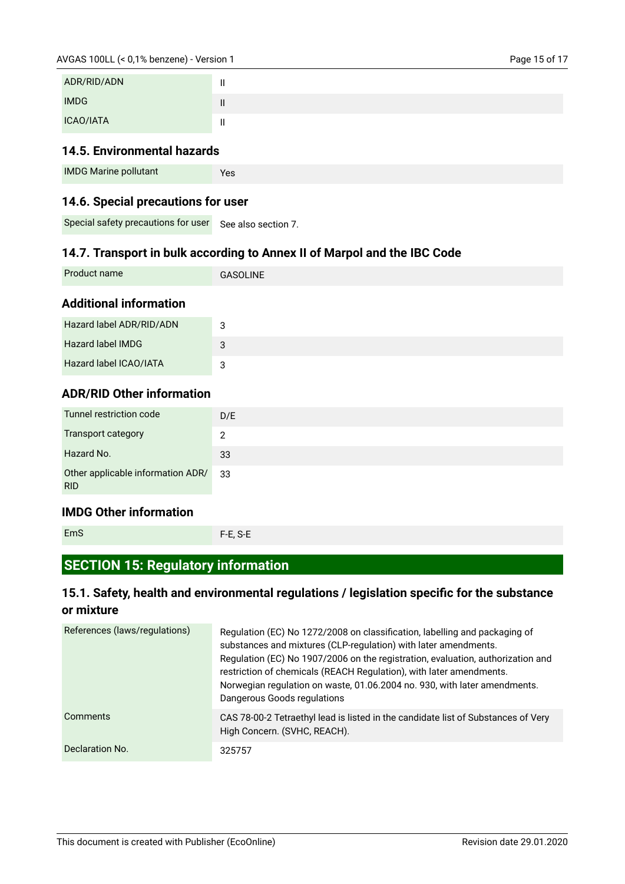| ADR/RID/ADN      |   |
|------------------|---|
| <b>IMDG</b>      | Ш |
| <b>ICAO/IATA</b> | Ш |

## **14.5. Environmental hazards**

| <b>IMDG Marine pollutant</b> | Yes |
|------------------------------|-----|
|                              |     |

#### **14.6. Special precautions for user**

Special safety precautions for user See also section 7.

## **14.7. Transport in bulk according to Annex II of Marpol and the IBC Code**

| Product name | <b>GASOLINE</b> |
|--------------|-----------------|
|              |                 |

#### **Additional information**

| Hazard label ADR/RID/ADN | ാ |
|--------------------------|---|
| Hazard label IMDG        |   |
| Hazard label ICAO/IATA   | 3 |

## **ADR/RID Other information**

| Tunnel restriction code                         | D/E |
|-------------------------------------------------|-----|
| <b>Transport category</b>                       | 2   |
| Hazard No.                                      | 33  |
| Other applicable information ADR/<br><b>RID</b> | 33  |

#### **IMDG Other information**

```
EmS
```
F-E, S-E

## **SECTION 15: Regulatory information**

## **15.1. Safety, health and environmental regulations / legislation specific for the substance or mixture**

| References (laws/regulations) | Regulation (EC) No 1272/2008 on classification, labelling and packaging of<br>substances and mixtures (CLP-regulation) with later amendments.<br>Regulation (EC) No 1907/2006 on the registration, evaluation, authorization and<br>restriction of chemicals (REACH Regulation), with later amendments.<br>Norwegian regulation on waste, 01.06.2004 no. 930, with later amendments.<br>Dangerous Goods regulations |
|-------------------------------|---------------------------------------------------------------------------------------------------------------------------------------------------------------------------------------------------------------------------------------------------------------------------------------------------------------------------------------------------------------------------------------------------------------------|
| Comments                      | CAS 78-00-2 Tetraethyl lead is listed in the candidate list of Substances of Very<br>High Concern. (SVHC, REACH).                                                                                                                                                                                                                                                                                                   |
| Declaration No.               | 325757                                                                                                                                                                                                                                                                                                                                                                                                              |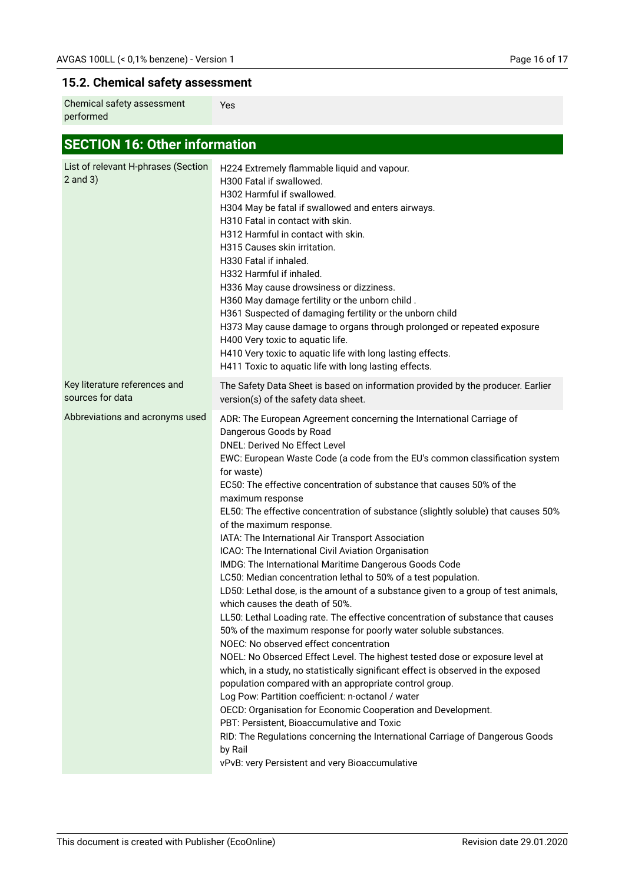## **15.2. Chemical safety assessment**

| Chemical safety assessment<br>Yes<br>performed |
|------------------------------------------------|
|------------------------------------------------|

# **SECTION 16: Other information**

| List of relevant H-phrases (Section<br>$2$ and $3)$ | H224 Extremely flammable liquid and vapour.<br>H300 Fatal if swallowed.<br>H302 Harmful if swallowed.<br>H304 May be fatal if swallowed and enters airways.<br>H310 Fatal in contact with skin.<br>H312 Harmful in contact with skin.<br>H315 Causes skin irritation.<br>H330 Fatal if inhaled.<br>H332 Harmful if inhaled.<br>H336 May cause drowsiness or dizziness.<br>H360 May damage fertility or the unborn child.<br>H361 Suspected of damaging fertility or the unborn child<br>H373 May cause damage to organs through prolonged or repeated exposure<br>H400 Very toxic to aquatic life.<br>H410 Very toxic to aquatic life with long lasting effects.<br>H411 Toxic to aquatic life with long lasting effects.                                                                                                                                                                                                                                                                                                                                                                                                                                                                                                                                                                                                                                                                                                                                                                                                                                         |
|-----------------------------------------------------|-------------------------------------------------------------------------------------------------------------------------------------------------------------------------------------------------------------------------------------------------------------------------------------------------------------------------------------------------------------------------------------------------------------------------------------------------------------------------------------------------------------------------------------------------------------------------------------------------------------------------------------------------------------------------------------------------------------------------------------------------------------------------------------------------------------------------------------------------------------------------------------------------------------------------------------------------------------------------------------------------------------------------------------------------------------------------------------------------------------------------------------------------------------------------------------------------------------------------------------------------------------------------------------------------------------------------------------------------------------------------------------------------------------------------------------------------------------------------------------------------------------------------------------------------------------------|
| Key literature references and<br>sources for data   | The Safety Data Sheet is based on information provided by the producer. Earlier<br>version(s) of the safety data sheet.                                                                                                                                                                                                                                                                                                                                                                                                                                                                                                                                                                                                                                                                                                                                                                                                                                                                                                                                                                                                                                                                                                                                                                                                                                                                                                                                                                                                                                           |
| Abbreviations and acronyms used                     | ADR: The European Agreement concerning the International Carriage of<br>Dangerous Goods by Road<br><b>DNEL: Derived No Effect Level</b><br>EWC: European Waste Code (a code from the EU's common classification system<br>for waste)<br>EC50: The effective concentration of substance that causes 50% of the<br>maximum response<br>EL50: The effective concentration of substance (slightly soluble) that causes 50%<br>of the maximum response.<br>IATA: The International Air Transport Association<br>ICAO: The International Civil Aviation Organisation<br>IMDG: The International Maritime Dangerous Goods Code<br>LC50: Median concentration lethal to 50% of a test population.<br>LD50: Lethal dose, is the amount of a substance given to a group of test animals,<br>which causes the death of 50%.<br>LL50: Lethal Loading rate. The effective concentration of substance that causes<br>50% of the maximum response for poorly water soluble substances.<br>NOEC: No observed effect concentration<br>NOEL: No Obserced Effect Level. The highest tested dose or exposure level at<br>which, in a study, no statistically significant effect is observed in the exposed<br>population compared with an appropriate control group.<br>Log Pow: Partition coefficient: n-octanol / water<br>OECD: Organisation for Economic Cooperation and Development.<br>PBT: Persistent, Bioaccumulative and Toxic<br>RID: The Regulations concerning the International Carriage of Dangerous Goods<br>by Rail<br>vPvB: very Persistent and very Bioaccumulative |